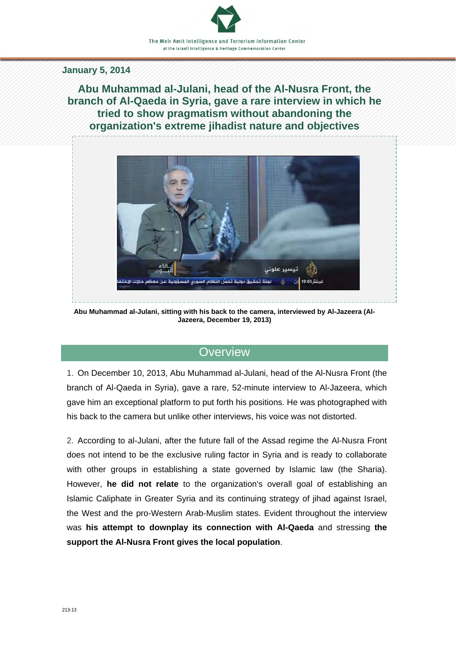#### **January 5, 2014**

**Abu Muhammad al-Julani, head of the Al-Nusra Front, the branch of Al-Qaeda in Syria, gave a rare interview in which he tried to show pragmatism without abandoning the organization's extreme jihadist nature and objectives** 



**Abu Muhammad al-Julani, sitting with his back to the camera, interviewed by Al-Jazeera (Al-Jazeera, December 19, 2013)**

## **Overview**

1. On December 10, 2013, Abu Muhammad al-Julani, head of the Al-Nusra Front (the branch of Al-Qaeda in Syria), gave a rare, 52-minute interview to Al-Jazeera, which gave him an exceptional platform to put forth his positions. He was photographed with his back to the camera but unlike other interviews, his voice was not distorted.

2. According to al-Julani, after the future fall of the Assad regime the Al-Nusra Front does not intend to be the exclusive ruling factor in Syria and is ready to collaborate with other groups in establishing a state governed by Islamic law (the Sharia). However, **he did not relate** to the organization's overall goal of establishing an Islamic Caliphate in Greater Syria and its continuing strategy of jihad against Israel, the West and the pro-Western Arab-Muslim states. Evident throughout the interview was **his attempt to downplay its connection with Al-Qaeda** and stressing **the support the Al-Nusra Front gives the local population**.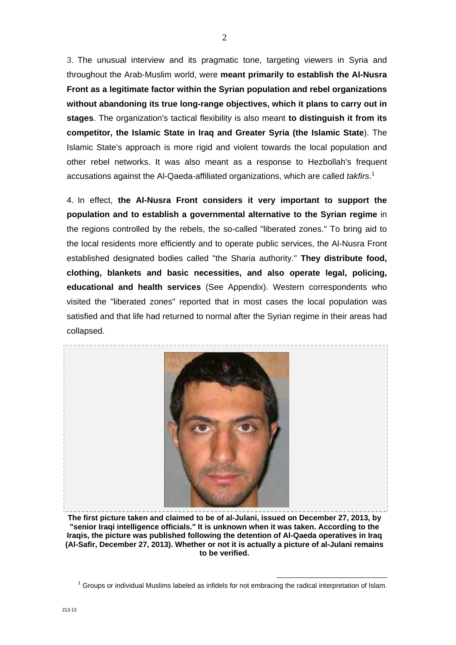3. The unusual interview and its pragmatic tone, targeting viewers in Syria and throughout the Arab-Muslim world, were **meant primarily to establish the Al-Nusra Front as a legitimate factor within the Syrian population and rebel organizations without abandoning its true long-range objectives, which it plans to carry out in stages**. The organization's tactical flexibility is also meant **to distinguish it from its competitor, the Islamic State in Iraq and Greater Syria (the Islamic State**). The Islamic State's approach is more rigid and violent towards the local population and other rebel networks. It was also meant as a response to Hezbollah's frequent accusations against the Al-Qaeda-affiliated organizations, which are called *takfirs*. 1

4. In effect, **the Al-Nusra Front considers it very important to support the population and to establish a governmental alternative to the Syrian regime** in the regions controlled by the rebels, the so-called "liberated zones." To bring aid to the local residents more efficiently and to operate public services, the Al-Nusra Front established designated bodies called "the Sharia authority." **They distribute food, clothing, blankets and basic necessities, and also operate legal, policing, educational and health services** (See Appendix). Western correspondents who visited the "liberated zones" reported that in most cases the local population was satisfied and that life had returned to normal after the Syrian regime in their areas had collapsed.



**The first picture taken and claimed to be of al-Julani, issued on December 27, 2013, by "senior Iraqi intelligence officials." It is unknown when it was taken. According to the Iraqis, the picture was published following the detention of Al-Qaeda operatives in Iraq (Al-Safir, December 27, 2013). Whether or not it is actually a picture of al-Julani remains to be verified.** 

<sup>1</sup> Groups or individual Muslims labeled as infidels for not embracing the radical interpretation of Islam.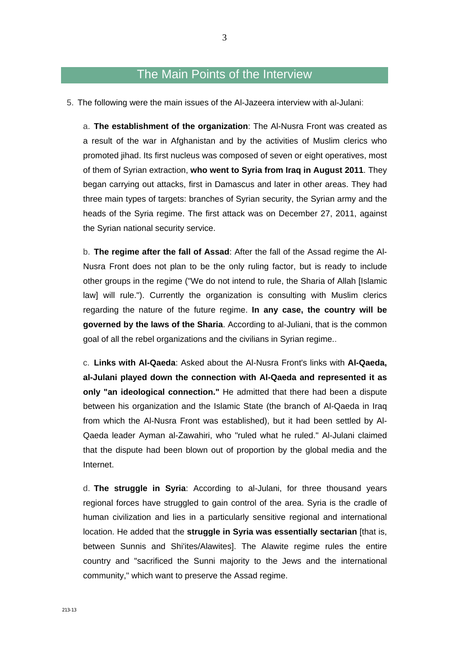# The Main Points of the Interview

5. The following were the main issues of the Al-Jazeera interview with al-Julani:

a. **The establishment of the organization**: The Al-Nusra Front was created as a result of the war in Afghanistan and by the activities of Muslim clerics who promoted jihad. Its first nucleus was composed of seven or eight operatives, most of them of Syrian extraction, **who went to Syria from Iraq in August 2011**. They began carrying out attacks, first in Damascus and later in other areas. They had three main types of targets: branches of Syrian security, the Syrian army and the heads of the Syria regime. The first attack was on December 27, 2011, against the Syrian national security service.

b. **The regime after the fall of Assad**: After the fall of the Assad regime the Al-Nusra Front does not plan to be the only ruling factor, but is ready to include other groups in the regime ("We do not intend to rule, the Sharia of Allah [Islamic law] will rule."). Currently the organization is consulting with Muslim clerics regarding the nature of the future regime. **In any case, the country will be governed by the laws of the Sharia**. According to al-Juliani, that is the common goal of all the rebel organizations and the civilians in Syrian regime..

c. **Links with Al-Qaeda**: Asked about the Al-Nusra Front's links with **Al-Qaeda, al-Julani played down the connection with Al-Qaeda and represented it as only "an ideological connection."** He admitted that there had been a dispute between his organization and the Islamic State (the branch of Al-Qaeda in Iraq from which the Al-Nusra Front was established), but it had been settled by Al-Qaeda leader Ayman al-Zawahiri, who "ruled what he ruled." Al-Julani claimed that the dispute had been blown out of proportion by the global media and the Internet.

d. **The struggle in Syria**: According to al-Julani, for three thousand years regional forces have struggled to gain control of the area. Syria is the cradle of human civilization and lies in a particularly sensitive regional and international location. He added that the **struggle in Syria was essentially sectarian** [that is, between Sunnis and Shi'ites/Alawites]. The Alawite regime rules the entire country and "sacrificed the Sunni majority to the Jews and the international community," which want to preserve the Assad regime.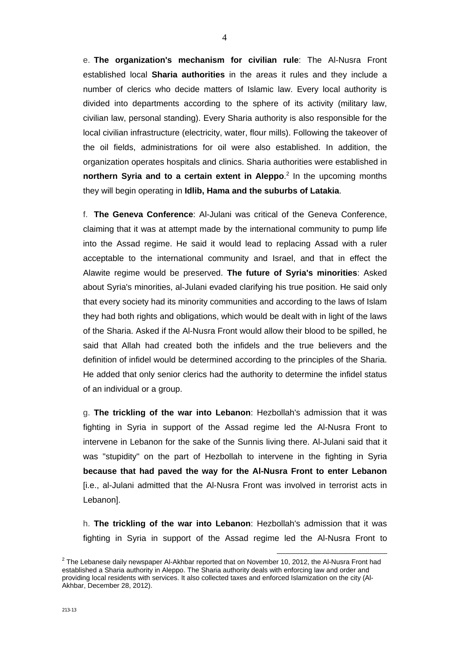e. **The organization's mechanism for civilian rule**: The Al-Nusra Front established local **Sharia authorities** in the areas it rules and they include a number of clerics who decide matters of Islamic law. Every local authority is divided into departments according to the sphere of its activity (military law, civilian law, personal standing). Every Sharia authority is also responsible for the local civilian infrastructure (electricity, water, flour mills). Following the takeover of the oil fields, administrations for oil were also established. In addition, the organization operates hospitals and clinics. Sharia authorities were established in **northern Syria and to a certain extent in Aleppo.**<sup>2</sup> In the upcoming months they will begin operating in **Idlib, Hama and the suburbs of Latakia**.

f. **The Geneva Conference**: Al-Julani was critical of the Geneva Conference, claiming that it was at attempt made by the international community to pump life into the Assad regime. He said it would lead to replacing Assad with a ruler acceptable to the international community and Israel, and that in effect the Alawite regime would be preserved. **The future of Syria's minorities**: Asked about Syria's minorities, al-Julani evaded clarifying his true position. He said only that every society had its minority communities and according to the laws of Islam they had both rights and obligations, which would be dealt with in light of the laws of the Sharia. Asked if the Al-Nusra Front would allow their blood to be spilled, he said that Allah had created both the infidels and the true believers and the definition of infidel would be determined according to the principles of the Sharia. He added that only senior clerics had the authority to determine the infidel status of an individual or a group.

g. **The trickling of the war into Lebanon**: Hezbollah's admission that it was fighting in Syria in support of the Assad regime led the Al-Nusra Front to intervene in Lebanon for the sake of the Sunnis living there. Al-Julani said that it was "stupidity" on the part of Hezbollah to intervene in the fighting in Syria **because that had paved the way for the Al-Nusra Front to enter Lebanon** [i.e., al-Julani admitted that the Al-Nusra Front was involved in terrorist acts in Lebanon].

h. **The trickling of the war into Lebanon**: Hezbollah's admission that it was fighting in Syria in support of the Assad regime led the Al-Nusra Front to

 $^2$  The Lebanese daily newspaper Al-Akhbar reported that on November 10, 2012, the Al-Nusra Front had established a Sharia authority in Aleppo. The Sharia authority deals with enforcing law and order and providing local residents with services. It also collected taxes and enforced Islamization on the city (Al-Akhbar, December 28, 2012).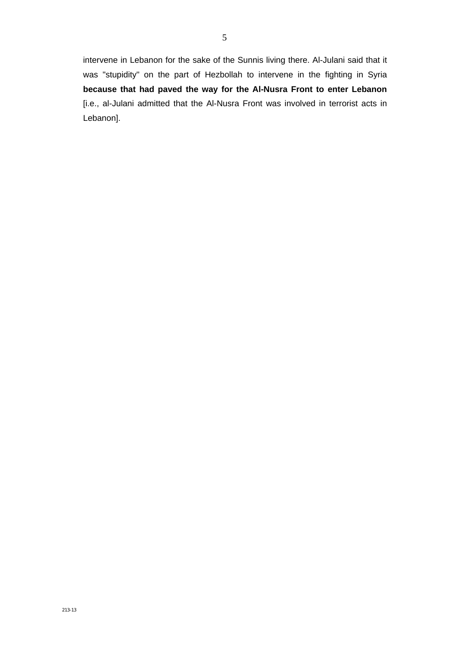intervene in Lebanon for the sake of the Sunnis living there. Al-Julani said that it was "stupidity" on the part of Hezbollah to intervene in the fighting in Syria **because that had paved the way for the Al-Nusra Front to enter Lebanon** [i.e., al-Julani admitted that the Al-Nusra Front was involved in terrorist acts in Lebanon].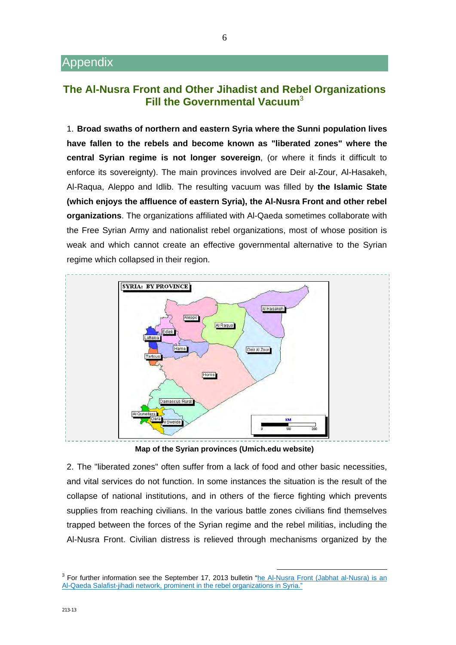## **The Al-Nusra Front and Other Jihadist and Rebel Organizations Fill the Governmental Vacuum**<sup>3</sup>

1. **Broad swaths of northern and eastern Syria where the Sunni population lives have fallen to the rebels and become known as "liberated zones" where the central Syrian regime is not longer sovereign**, (or where it finds it difficult to enforce its sovereignty). The main provinces involved are Deir al-Zour, Al-Hasakeh, Al-Raqua, Aleppo and Idlib. The resulting vacuum was filled by **the Islamic State (which enjoys the affluence of eastern Syria), the Al-Nusra Front and other rebel organizations**. The organizations affiliated with Al-Qaeda sometimes collaborate with the Free Syrian Army and nationalist rebel organizations, most of whose position is weak and which cannot create an effective governmental alternative to the Syrian regime which collapsed in their region.



**Map of the Syrian provinces (Umich.edu website)** 

2. The "liberated zones" often suffer from a lack of food and other basic necessities, and vital services do not function. In some instances the situation is the result of the collapse of national institutions, and in others of the fierce fighting which prevents supplies from reaching civilians. In the various battle zones civilians find themselves trapped between the forces of the Syrian regime and the rebel militias, including the Al-Nusra Front. Civilian distress is relieved through mechanisms organized by the

<sup>&</sup>lt;sup>3</sup> For further information see the September 17, 2013 bulletin "he Al-Nusra Front (Jabhat al-Nusra) is an Al-Qaeda Salafist-jihadi network, prominent in the rebel organizations in Syria."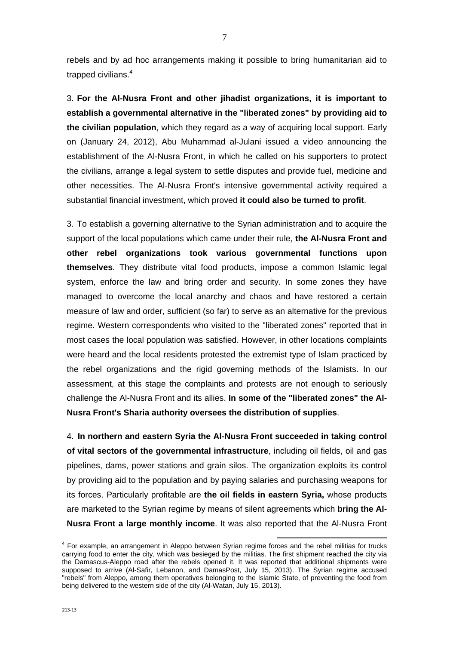rebels and by ad hoc arrangements making it possible to bring humanitarian aid to trapped civilians.<sup>4</sup>

3. **For the Al-Nusra Front and other jihadist organizations, it is important to establish a governmental alternative in the "liberated zones" by providing aid to the civilian population**, which they regard as a way of acquiring local support. Early on (January 24, 2012), Abu Muhammad al-Julani issued a video announcing the establishment of the Al-Nusra Front, in which he called on his supporters to protect the civilians, arrange a legal system to settle disputes and provide fuel, medicine and other necessities. The Al-Nusra Front's intensive governmental activity required a substantial financial investment, which proved **it could also be turned to profit**.

3. To establish a governing alternative to the Syrian administration and to acquire the support of the local populations which came under their rule, **the Al-Nusra Front and other rebel organizations took various governmental functions upon themselves**. They distribute vital food products, impose a common Islamic legal system, enforce the law and bring order and security. In some zones they have managed to overcome the local anarchy and chaos and have restored a certain measure of law and order, sufficient (so far) to serve as an alternative for the previous regime. Western correspondents who visited to the "liberated zones" reported that in most cases the local population was satisfied. However, in other locations complaints were heard and the local residents protested the extremist type of Islam practiced by the rebel organizations and the rigid governing methods of the Islamists. In our assessment, at this stage the complaints and protests are not enough to seriously challenge the Al-Nusra Front and its allies. **In some of the "liberated zones" the Al-Nusra Front's Sharia authority oversees the distribution of supplies**.

4. **In northern and eastern Syria the Al-Nusra Front succeeded in taking control of vital sectors of the governmental infrastructure**, including oil fields, oil and gas pipelines, dams, power stations and grain silos. The organization exploits its control by providing aid to the population and by paying salaries and purchasing weapons for its forces. Particularly profitable are **the oil fields in eastern Syria,** whose products are marketed to the Syrian regime by means of silent agreements which **bring the Al-Nusra Front a large monthly income**. It was also reported that the Al-Nusra Front

<sup>4</sup> For example, an arrangement in Aleppo between Syrian regime forces and the rebel militias for trucks carrying food to enter the city, which was besieged by the militias. The first shipment reached the city via the Damascus-Aleppo road after the rebels opened it. It was reported that additional shipments were supposed to arrive (Al-Safir, Lebanon, and DamasPost, July 15, 2013). The Syrian regime accused "rebels" from Aleppo, among them operatives belonging to the Islamic State, of preventing the food from being delivered to the western side of the city (Al-Watan, July 15, 2013).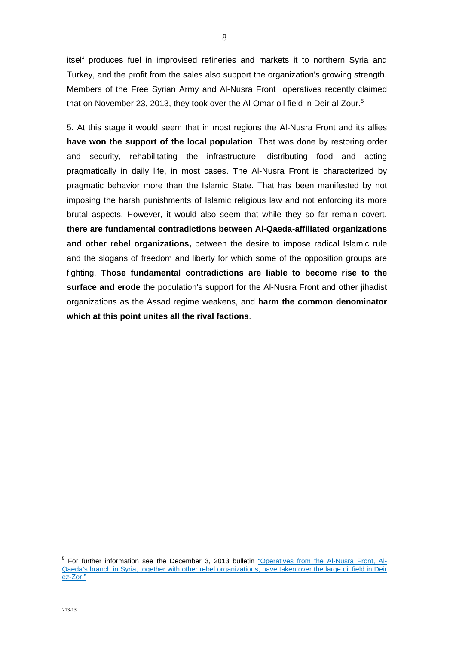itself produces fuel in improvised refineries and markets it to northern Syria and Turkey, and the profit from the sales also support the organization's growing strength. Members of the Free Syrian Army and Al-Nusra Front operatives recently claimed that on November 23, 2013, they took over the Al-Omar oil field in Deir al-Zour.<sup>5</sup>

5. At this stage it would seem that in most regions the Al-Nusra Front and its allies **have won the support of the local population**. That was done by restoring order and security, rehabilitating the infrastructure, distributing food and acting pragmatically in daily life, in most cases. The Al-Nusra Front is characterized by pragmatic behavior more than the Islamic State. That has been manifested by not imposing the harsh punishments of Islamic religious law and not enforcing its more brutal aspects. However, it would also seem that while they so far remain covert, **there are fundamental contradictions between Al-Qaeda-affiliated organizations and other rebel organizations,** between the desire to impose radical Islamic rule and the slogans of freedom and liberty for which some of the opposition groups are fighting. **Those fundamental contradictions are liable to become rise to the surface and erode** the population's support for the Al-Nusra Front and other jihadist organizations as the Assad regime weakens, and **harm the common denominator which at this point unites all the rival factions**.

<sup>&</sup>lt;sup>5</sup> For further information see the December 3, 2013 bulletin <u>"Operatives from the Al-Nusra Front, Al-</u> [Qaeda's branch in Syria, together with other rebel organizations, have taken over the large oil field in Deir](http://www.terrorism-info.org.il/en/article/20599)  ez-Zor."